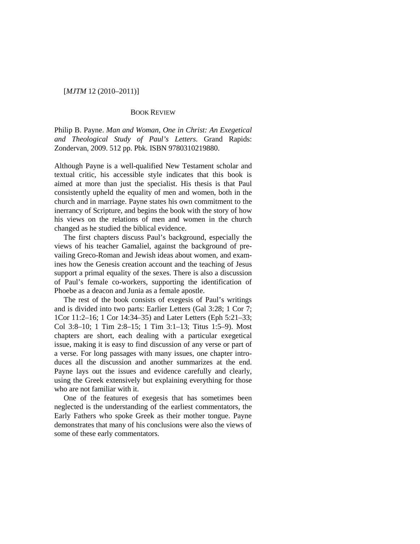## [*MJTM* 12 (2010–2011)]

## BOOK REVIEW

Philip B. Payne. *Man and Woman, One in Christ: An Exegetical and Theological Study of Paul's Letters*. Grand Rapids: Zondervan, 2009. 512 pp. Pbk. ISBN 9780310219880.

Although Payne is a well-qualified New Testament scholar and textual critic, his accessible style indicates that this book is aimed at more than just the specialist. His thesis is that Paul consistently upheld the equality of men and women, both in the church and in marriage. Payne states his own commitment to the inerrancy of Scripture, and begins the book with the story of how his views on the relations of men and women in the church changed as he studied the biblical evidence.

The first chapters discuss Paul's background, especially the views of his teacher Gamaliel, against the background of prevailing Greco-Roman and Jewish ideas about women, and examines how the Genesis creation account and the teaching of Jesus support a primal equality of the sexes. There is also a discussion of Paul's female co-workers, supporting the identification of Phoebe as a deacon and Junia as a female apostle.

The rest of the book consists of exegesis of Paul's writings and is divided into two parts: Earlier Letters (Gal 3:28; 1 Cor 7; 1Cor 11:2–16; 1 Cor 14:34–35) and Later Letters (Eph 5:21–33; Col 3:8–10; 1 Tim 2:8–15; 1 Tim 3:1–13; Titus 1:5–9). Most chapters are short, each dealing with a particular exegetical issue, making it is easy to find discussion of any verse or part of a verse. For long passages with many issues, one chapter introduces all the discussion and another summarizes at the end. Payne lays out the issues and evidence carefully and clearly, using the Greek extensively but explaining everything for those who are not familiar with it.

One of the features of exegesis that has sometimes been neglected is the understanding of the earliest commentators, the Early Fathers who spoke Greek as their mother tongue. Payne demonstrates that many of his conclusions were also the views of some of these early commentators.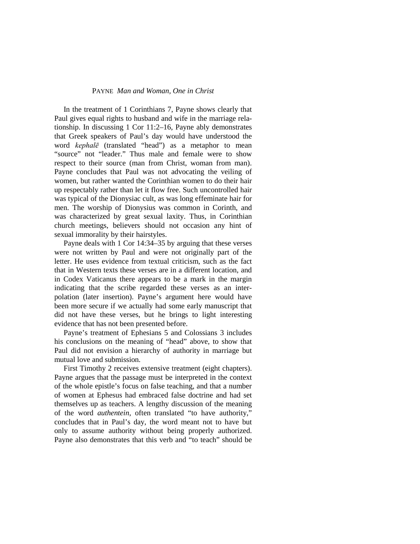## PAYNE *Man and Woman, One in Christ*

In the treatment of 1 Corinthians 7, Payne shows clearly that Paul gives equal rights to husband and wife in the marriage relationship. In discussing 1 Cor 11:2–16, Payne ably demonstrates that Greek speakers of Paul's day would have understood the word *kephalē* (translated "head") as a metaphor to mean "source" not "leader." Thus male and female were to show respect to their source (man from Christ, woman from man). Payne concludes that Paul was not advocating the veiling of women, but rather wanted the Corinthian women to do their hair up respectably rather than let it flow free. Such uncontrolled hair was typical of the Dionysiac cult, as was long effeminate hair for men. The worship of Dionysius was common in Corinth, and was characterized by great sexual laxity. Thus, in Corinthian church meetings, believers should not occasion any hint of sexual immorality by their hairstyles.

Payne deals with 1 Cor 14:34–35 by arguing that these verses were not written by Paul and were not originally part of the letter. He uses evidence from textual criticism, such as the fact that in Western texts these verses are in a different location, and in Codex Vaticanus there appears to be a mark in the margin indicating that the scribe regarded these verses as an interpolation (later insertion). Payne's argument here would have been more secure if we actually had some early manuscript that did not have these verses, but he brings to light interesting evidence that has not been presented before.

Payne's treatment of Ephesians 5 and Colossians 3 includes his conclusions on the meaning of "head" above, to show that Paul did not envision a hierarchy of authority in marriage but mutual love and submission.

First Timothy 2 receives extensive treatment (eight chapters). Payne argues that the passage must be interpreted in the context of the whole epistle's focus on false teaching, and that a number of women at Ephesus had embraced false doctrine and had set themselves up as teachers. A lengthy discussion of the meaning of the word *authentein*, often translated "to have authority," concludes that in Paul's day, the word meant not to have but only to assume authority without being properly authorized. Payne also demonstrates that this verb and "to teach" should be